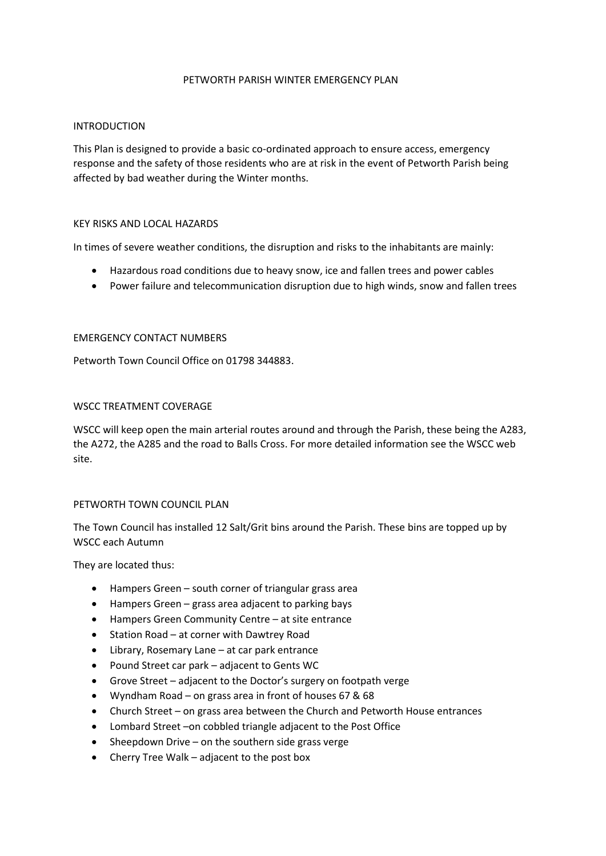#### PETWORTH PARISH WINTER EMERGENCY PLAN

### INTRODUCTION

This Plan is designed to provide a basic co-ordinated approach to ensure access, emergency response and the safety of those residents who are at risk in the event of Petworth Parish being affected by bad weather during the Winter months.

### KEY RISKS AND LOCAL HAZARDS

In times of severe weather conditions, the disruption and risks to the inhabitants are mainly:

- Hazardous road conditions due to heavy snow, ice and fallen trees and power cables
- Power failure and telecommunication disruption due to high winds, snow and fallen trees

### EMERGENCY CONTACT NUMBERS

Petworth Town Council Office on 01798 344883.

## WSCC TREATMENT COVERAGE

WSCC will keep open the main arterial routes around and through the Parish, these being the A283, the A272, the A285 and the road to Balls Cross. For more detailed information see the WSCC web site.

### PETWORTH TOWN COUNCIL PLAN

The Town Council has installed 12 Salt/Grit bins around the Parish. These bins are topped up by WSCC each Autumn

They are located thus:

- Hampers Green south corner of triangular grass area
- Hampers Green grass area adjacent to parking bays
- Hampers Green Community Centre at site entrance
- Station Road at corner with Dawtrey Road
- Library, Rosemary Lane at car park entrance
- Pound Street car park adjacent to Gents WC
- Grove Street adjacent to the Doctor's surgery on footpath verge
- Wyndham Road on grass area in front of houses 67 & 68
- Church Street on grass area between the Church and Petworth House entrances
- Lombard Street –on cobbled triangle adjacent to the Post Office
- Sheepdown Drive on the southern side grass verge
- Cherry Tree Walk adjacent to the post box